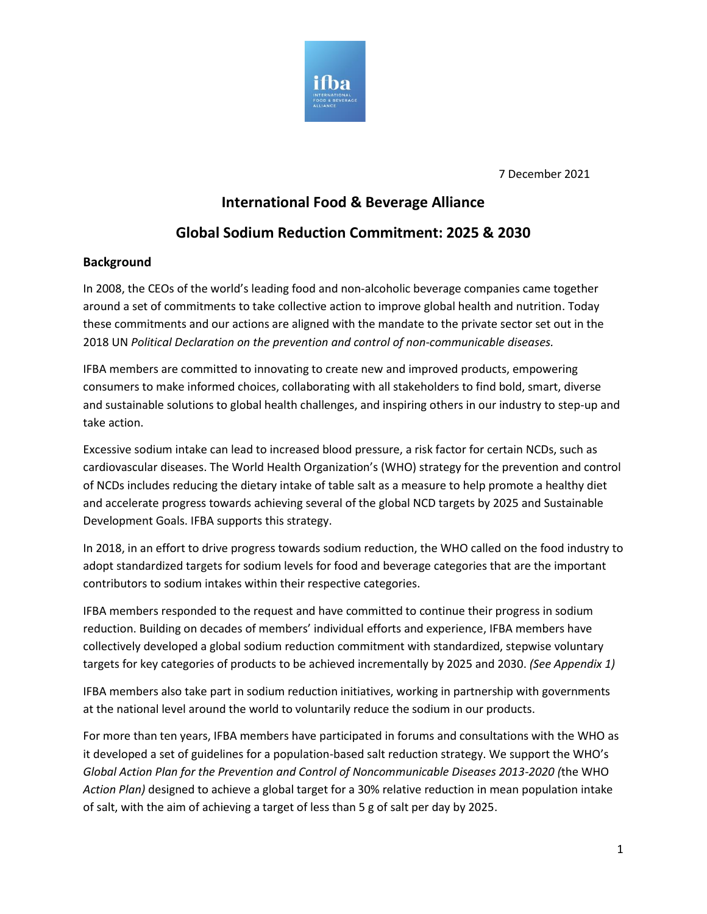

7 December 2021

## **International Food & Beverage Alliance**

# **Global Sodium Reduction Commitment: 2025 & 2030**

### **Background**

In 2008, the CEOs of the world's leading food and non-alcoholic beverage companies came together around a set of commitments to take collective action to improve global health and nutrition. Today these commitments and our actions are aligned with the mandate to the private sector set out in the 2018 UN *Political Declaration on the prevention and control of non-communicable diseases.*

IFBA members are committed to innovating to create new and improved products, empowering consumers to make informed choices, collaborating with all stakeholders to find bold, smart, diverse and sustainable solutions to global health challenges, and inspiring others in our industry to step-up and take action.

Excessive sodium intake can lead to increased blood pressure, a risk factor for certain NCDs, such as cardiovascular diseases. The World Health Organization's (WHO) strategy for the prevention and control of NCDs includes reducing the dietary intake of table salt as a measure to help promote a healthy diet and accelerate progress towards achieving several of the global NCD targets by 2025 and Sustainable Development Goals. IFBA supports this strategy.

In 2018, in an effort to drive progress towards sodium reduction, the WHO called on the food industry to adopt standardized targets for sodium levels for food and beverage categories that are the important contributors to sodium intakes within their respective categories.

IFBA members responded to the request and have committed to continue their progress in sodium reduction. Building on decades of members' individual efforts and experience, IFBA members have collectively developed a global sodium reduction commitment with standardized, stepwise voluntary targets for key categories of products to be achieved incrementally by 2025 and 2030. *(See Appendix 1)*

IFBA members also take part in sodium reduction initiatives, working in partnership with governments at the national level around the world to voluntarily reduce the sodium in our products.

For more than ten years, IFBA members have participated in forums and consultations with the WHO as it developed a set of guidelines for a population-based salt reduction strategy. We support the WHO's *Global Action Plan for the Prevention and Control of Noncommunicable Diseases 2013-2020 (*the WHO *Action Plan)* designed to achieve a global target for a 30% relative reduction in mean population intake of salt, with the aim of achieving a target of less than 5 g of salt per day by 2025.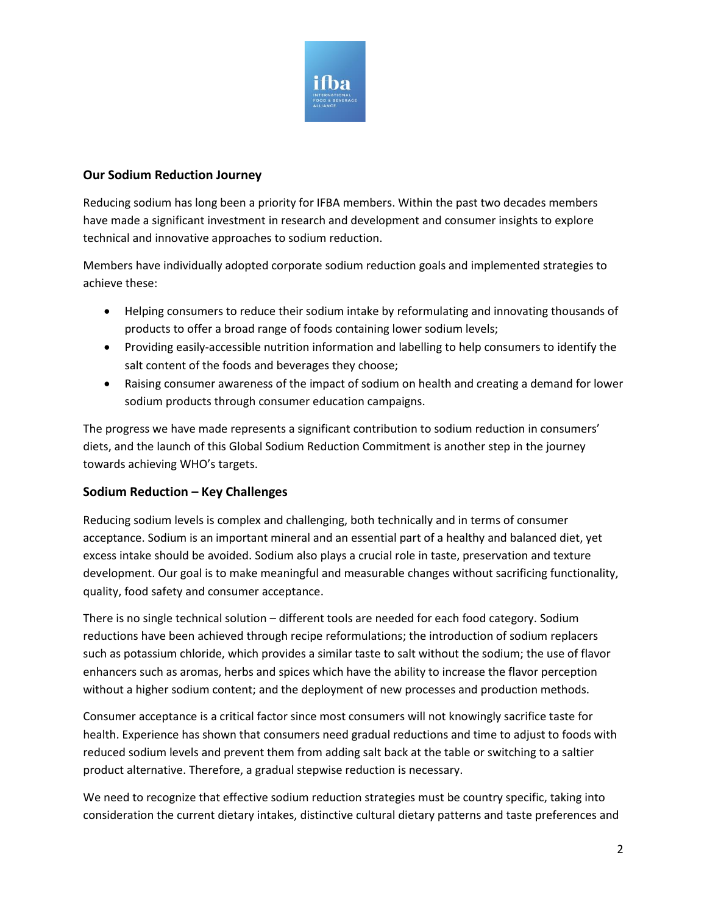

## **Our Sodium Reduction Journey**

Reducing sodium has long been a priority for IFBA members. Within the past two decades members have made a significant investment in research and development and consumer insights to explore technical and innovative approaches to sodium reduction.

Members have individually adopted corporate sodium reduction goals and implemented strategies to achieve these:

- Helping consumers to reduce their sodium intake by reformulating and innovating thousands of products to offer a broad range of foods containing lower sodium levels;
- Providing easily-accessible nutrition information and labelling to help consumers to identify the salt content of the foods and beverages they choose;
- Raising consumer awareness of the impact of sodium on health and creating a demand for lower sodium products through consumer education campaigns.

The progress we have made represents a significant contribution to sodium reduction in consumers' diets, and the launch of this Global Sodium Reduction Commitment is another step in the journey towards achieving WHO's targets.

### **Sodium Reduction – Key Challenges**

Reducing sodium levels is complex and challenging, both technically and in terms of consumer acceptance. Sodium is an important mineral and an essential part of a healthy and balanced diet, yet excess intake should be avoided. Sodium also plays a crucial role in taste, preservation and texture development. Our goal is to make meaningful and measurable changes without sacrificing functionality, quality, food safety and consumer acceptance.

There is no single technical solution – different tools are needed for each food category. Sodium reductions have been achieved through recipe reformulations; the introduction of sodium replacers such as potassium chloride, which provides a similar taste to salt without the sodium; the use of flavor enhancers such as aromas, herbs and spices which have the ability to increase the flavor perception without a higher sodium content; and the deployment of new processes and production methods.

Consumer acceptance is a critical factor since most consumers will not knowingly sacrifice taste for health. Experience has shown that consumers need gradual reductions and time to adjust to foods with reduced sodium levels and prevent them from adding salt back at the table or switching to a saltier product alternative. Therefore, a gradual stepwise reduction is necessary.

We need to recognize that effective sodium reduction strategies must be country specific, taking into consideration the current dietary intakes, distinctive cultural dietary patterns and taste preferences and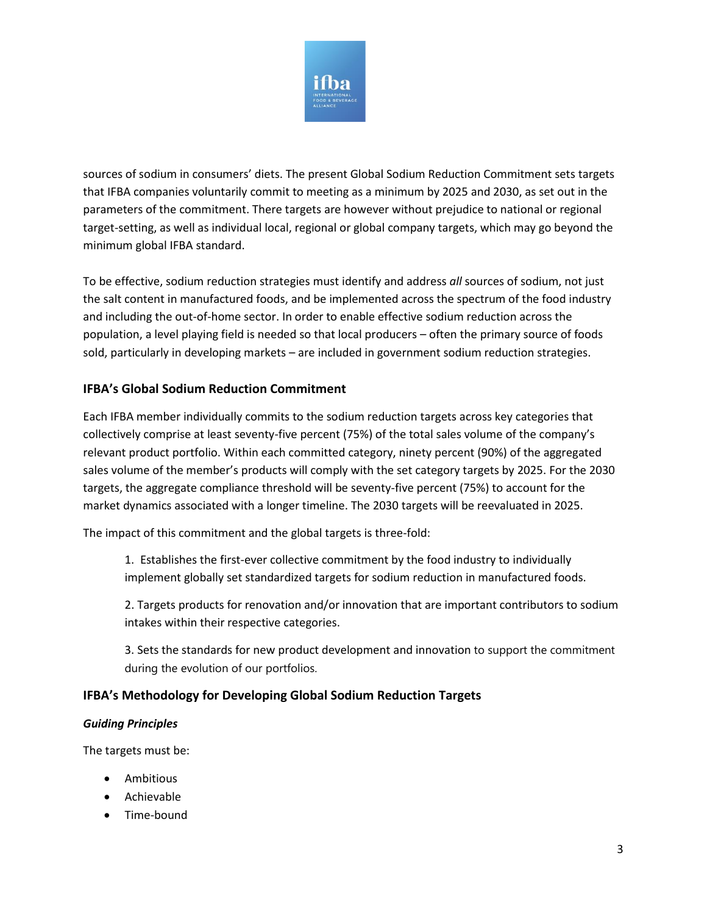

sources of sodium in consumers' diets. The present Global Sodium Reduction Commitment sets targets that IFBA companies voluntarily commit to meeting as a minimum by 2025 and 2030, as set out in the parameters of the commitment. There targets are however without prejudice to national or regional target-setting, as well as individual local, regional or global company targets, which may go beyond the minimum global IFBA standard.

To be effective, sodium reduction strategies must identify and address *all* sources of sodium, not just the salt content in manufactured foods, and be implemented across the spectrum of the food industry and including the out-of-home sector. In order to enable effective sodium reduction across the population, a level playing field is needed so that local producers – often the primary source of foods sold, particularly in developing markets – are included in government sodium reduction strategies.

## **IFBA's Global Sodium Reduction Commitment**

Each IFBA member individually commits to the sodium reduction targets across key categories that collectively comprise at least seventy-five percent (75%) of the total sales volume of the company's relevant product portfolio. Within each committed category, ninety percent (90%) of the aggregated sales volume of the member's products will comply with the set category targets by 2025. For the 2030 targets, the aggregate compliance threshold will be seventy-five percent (75%) to account for the market dynamics associated with a longer timeline. The 2030 targets will be reevaluated in 2025.

The impact of this commitment and the global targets is three-fold:

1. Establishes the first-ever collective commitment by the food industry to individually implement globally set standardized targets for sodium reduction in manufactured foods.

2. Targets products for renovation and/or innovation that are important contributors to sodium intakes within their respective categories.

3. Sets the standards for new product development and innovation to support the commitment during the evolution of our portfolios.

### **IFBA's Methodology for Developing Global Sodium Reduction Targets**

#### *Guiding Principles*

The targets must be:

- Ambitious
- Achievable
- Time-bound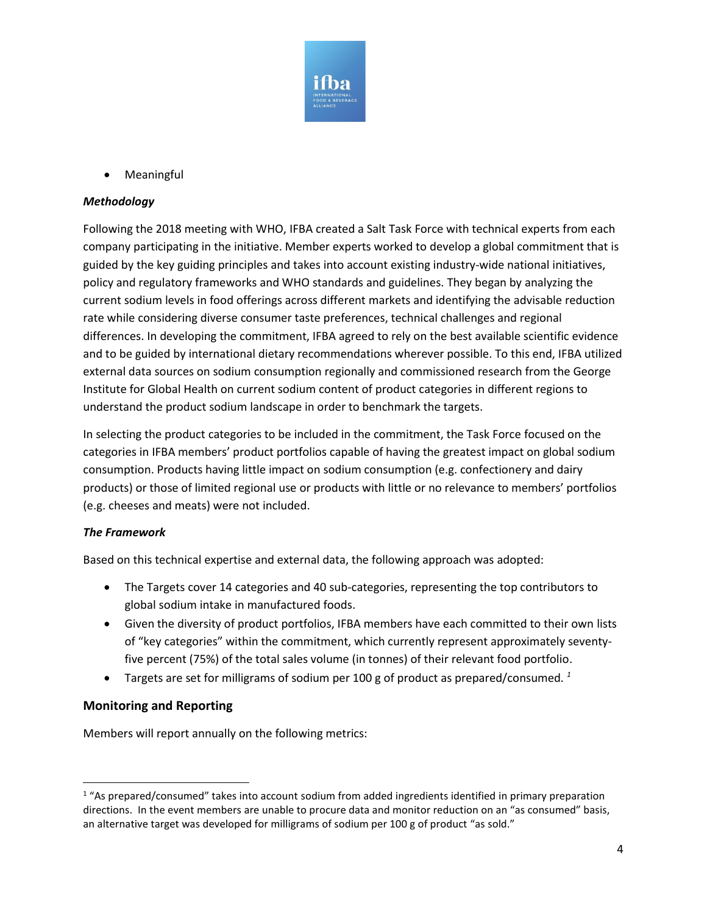

• Meaningful

#### *Methodology*

Following the 2018 meeting with WHO, IFBA created a Salt Task Force with technical experts from each company participating in the initiative. Member experts worked to develop a global commitment that is guided by the key guiding principles and takes into account existing industry-wide national initiatives, policy and regulatory frameworks and WHO standards and guidelines. They began by analyzing the current sodium levels in food offerings across different markets and identifying the advisable reduction rate while considering diverse consumer taste preferences, technical challenges and regional differences. In developing the commitment, IFBA agreed to rely on the best available scientific evidence and to be guided by international dietary recommendations wherever possible. To this end, IFBA utilized external data sources on sodium consumption regionally and commissioned research from the George Institute for Global Health on current sodium content of product categories in different regions to understand the product sodium landscape in order to benchmark the targets.

In selecting the product categories to be included in the commitment, the Task Force focused on the categories in IFBA members' product portfolios capable of having the greatest impact on global sodium consumption. Products having little impact on sodium consumption (e.g. confectionery and dairy products) or those of limited regional use or products with little or no relevance to members' portfolios (e.g. cheeses and meats) were not included.

### *The Framework*

Based on this technical expertise and external data, the following approach was adopted:

- The Targets cover 14 categories and 40 sub-categories, representing the top contributors to global sodium intake in manufactured foods.
- Given the diversity of product portfolios, IFBA members have each committed to their own lists of "key categories" within the commitment, which currently represent approximately seventyfive percent (75%) of the total sales volume (in tonnes) of their relevant food portfolio.
- Targets are set for milligrams of sodium per 100 g of product as prepared/consumed*. 1*

### **Monitoring and Reporting**

Members will report annually on the following metrics:

<sup>1</sup> "As prepared/consumed" takes into account sodium from added ingredients identified in primary preparation directions. In the event members are unable to procure data and monitor reduction on an "as consumed" basis, an alternative target was developed for milligrams of sodium per 100 g of product "as sold."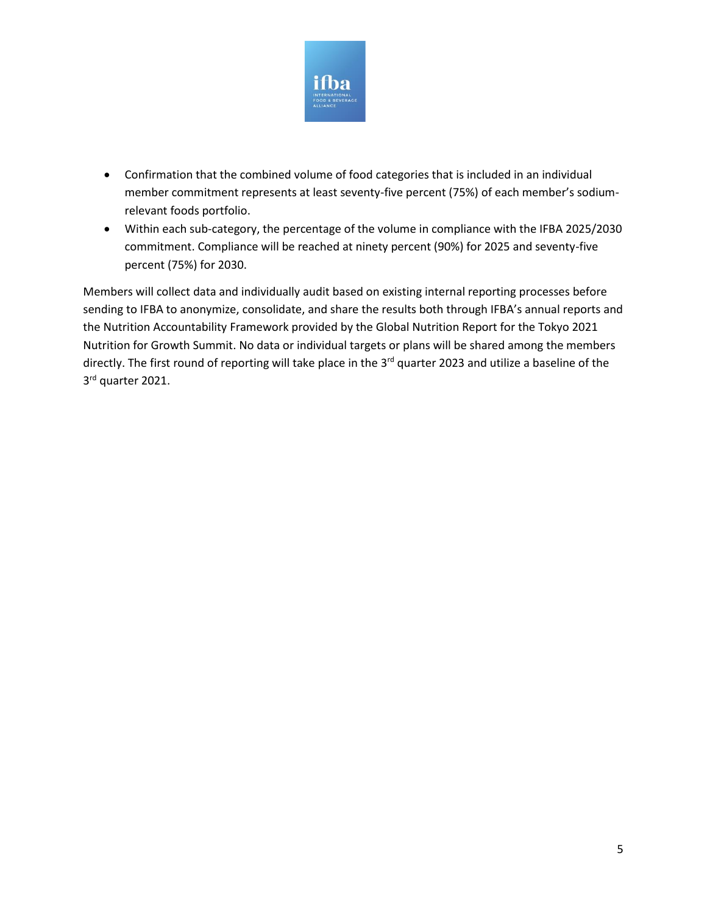

- Confirmation that the combined volume of food categories that is included in an individual member commitment represents at least seventy-five percent (75%) of each member's sodiumrelevant foods portfolio.
- Within each sub-category, the percentage of the volume in compliance with the IFBA 2025/2030 commitment. Compliance will be reached at ninety percent (90%) for 2025 and seventy-five percent (75%) for 2030.

Members will collect data and individually audit based on existing internal reporting processes before sending to IFBA to anonymize, consolidate, and share the results both through IFBA's annual reports and the Nutrition Accountability Framework provided by the Global Nutrition Report for the Tokyo 2021 Nutrition for Growth Summit. No data or individual targets or plans will be shared among the members directly. The first round of reporting will take place in the 3<sup>rd</sup> quarter 2023 and utilize a baseline of the 3<sup>rd</sup> quarter 2021.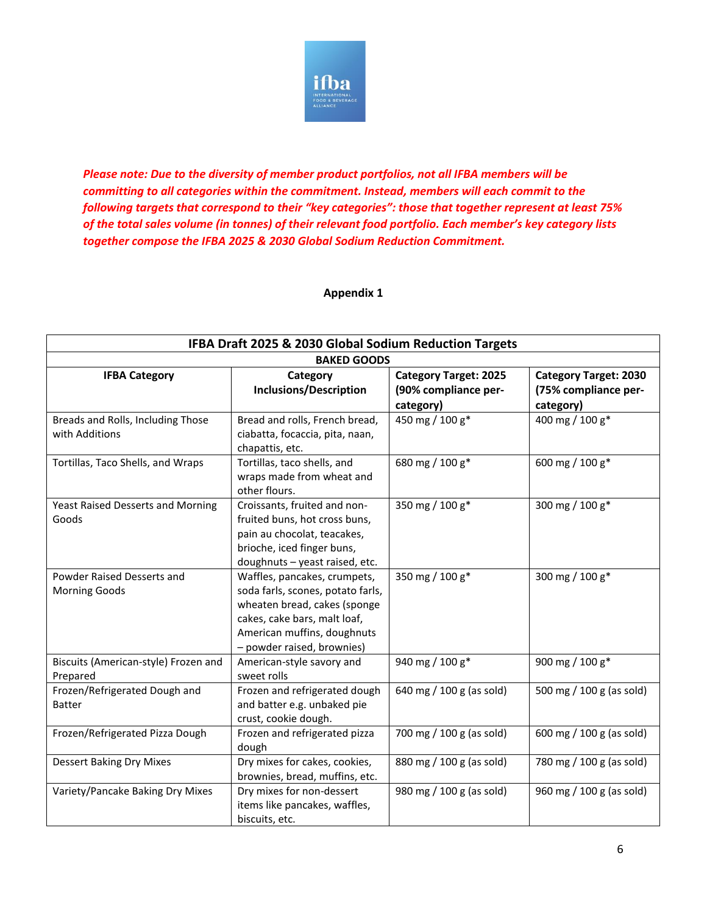

*Please note: Due to the diversity of member product portfolios, not all IFBA members will be committing to all categories within the commitment. Instead, members will each commit to the following targets that correspond to their "key categories": those that together represent at least 75% of the total sales volume (in tonnes) of their relevant food portfolio. Each member's key category lists together compose the IFBA 2025 & 2030 Global Sodium Reduction Commitment.* 

#### **Appendix 1**

| IFBA Draft 2025 & 2030 Global Sodium Reduction Targets |                                                                   |                              |                              |
|--------------------------------------------------------|-------------------------------------------------------------------|------------------------------|------------------------------|
| <b>BAKED GOODS</b>                                     |                                                                   |                              |                              |
| <b>IFBA Category</b>                                   | Category                                                          | <b>Category Target: 2025</b> | <b>Category Target: 2030</b> |
|                                                        | <b>Inclusions/Description</b>                                     | (90% compliance per-         | (75% compliance per-         |
|                                                        |                                                                   | category)                    | category)                    |
| Breads and Rolls, Including Those<br>with Additions    | Bread and rolls, French bread,<br>ciabatta, focaccia, pita, naan, | 450 mg / 100 g*              | 400 mg / 100 g*              |
|                                                        | chapattis, etc.                                                   |                              |                              |
| Tortillas, Taco Shells, and Wraps                      | Tortillas, taco shells, and<br>wraps made from wheat and          | 680 mg / 100 g*              | 600 mg / 100 g*              |
|                                                        | other flours.                                                     |                              |                              |
| <b>Yeast Raised Desserts and Morning</b>               | Croissants, fruited and non-                                      | 350 mg / 100 g*              | 300 mg / 100 g*              |
| Goods                                                  | fruited buns, hot cross buns,                                     |                              |                              |
|                                                        | pain au chocolat, teacakes,                                       |                              |                              |
|                                                        | brioche, iced finger buns,                                        |                              |                              |
|                                                        | doughnuts - yeast raised, etc.                                    |                              |                              |
| Powder Raised Desserts and                             | Waffles, pancakes, crumpets,                                      | 350 mg / 100 g*              | 300 mg / 100 g*              |
| Morning Goods                                          | soda farls, scones, potato farls,                                 |                              |                              |
|                                                        | wheaten bread, cakes (sponge                                      |                              |                              |
|                                                        | cakes, cake bars, malt loaf,                                      |                              |                              |
|                                                        | American muffins, doughnuts                                       |                              |                              |
|                                                        | - powder raised, brownies)                                        |                              |                              |
| Biscuits (American-style) Frozen and<br>Prepared       | American-style savory and<br>sweet rolls                          | 940 mg / 100 g*              | 900 mg / 100 g*              |
| Frozen/Refrigerated Dough and                          | Frozen and refrigerated dough                                     | 640 mg / 100 g (as sold)     | 500 mg / 100 g (as sold)     |
| <b>Batter</b>                                          | and batter e.g. unbaked pie                                       |                              |                              |
|                                                        | crust, cookie dough.                                              |                              |                              |
| Frozen/Refrigerated Pizza Dough                        | Frozen and refrigerated pizza<br>dough                            | 700 mg / 100 g (as sold)     | 600 mg / 100 g (as sold)     |
| <b>Dessert Baking Dry Mixes</b>                        | Dry mixes for cakes, cookies,                                     | 880 mg / 100 g (as sold)     | 780 mg / 100 g (as sold)     |
|                                                        | brownies, bread, muffins, etc.                                    |                              |                              |
| Variety/Pancake Baking Dry Mixes                       | Dry mixes for non-dessert                                         | 980 mg / 100 g (as sold)     | 960 mg / 100 g (as sold)     |
|                                                        | items like pancakes, waffles,                                     |                              |                              |
|                                                        | biscuits, etc.                                                    |                              |                              |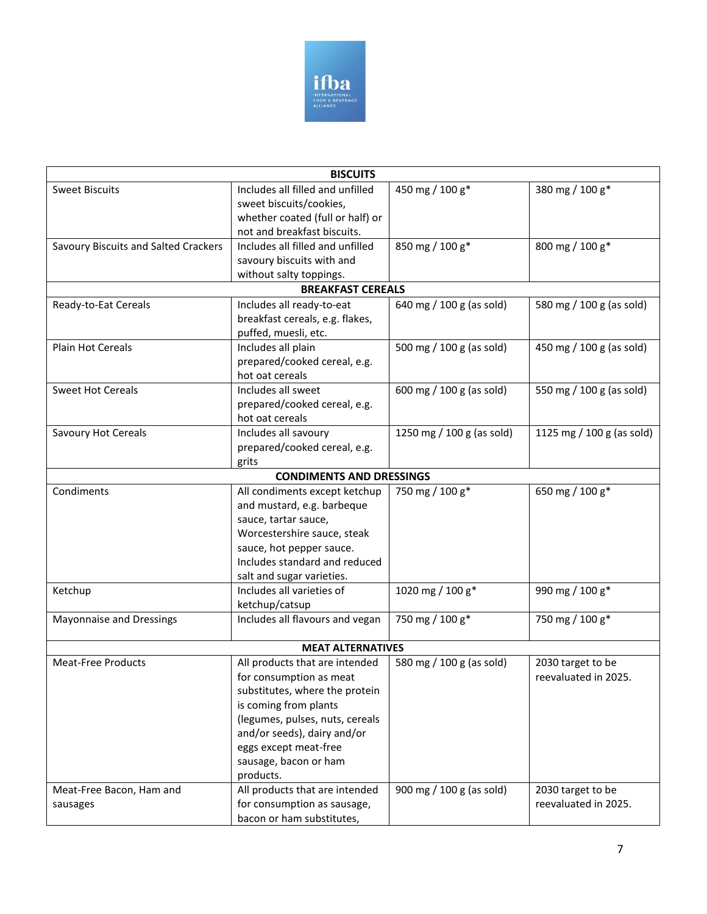

| <b>BISCUITS</b>                      |                                  |                           |                           |
|--------------------------------------|----------------------------------|---------------------------|---------------------------|
| <b>Sweet Biscuits</b>                | Includes all filled and unfilled | 450 mg / 100 g*           | 380 mg / 100 g*           |
|                                      | sweet biscuits/cookies,          |                           |                           |
|                                      | whether coated (full or half) or |                           |                           |
|                                      | not and breakfast biscuits.      |                           |                           |
| Savoury Biscuits and Salted Crackers | Includes all filled and unfilled | 850 mg / 100 g*           | 800 mg / 100 g*           |
|                                      | savoury biscuits with and        |                           |                           |
|                                      | without salty toppings.          |                           |                           |
|                                      | <b>BREAKFAST CEREALS</b>         |                           |                           |
| Ready-to-Eat Cereals                 | Includes all ready-to-eat        | 640 mg / 100 g (as sold)  | 580 mg / 100 g (as sold)  |
|                                      | breakfast cereals, e.g. flakes,  |                           |                           |
|                                      | puffed, muesli, etc.             |                           |                           |
| <b>Plain Hot Cereals</b>             | Includes all plain               | 500 mg / 100 g (as sold)  | 450 mg / 100 g (as sold)  |
|                                      | prepared/cooked cereal, e.g.     |                           |                           |
|                                      | hot oat cereals                  |                           |                           |
| <b>Sweet Hot Cereals</b>             | Includes all sweet               | 600 mg / 100 g (as sold)  | 550 mg / 100 g (as sold)  |
|                                      | prepared/cooked cereal, e.g.     |                           |                           |
|                                      | hot oat cereals                  |                           |                           |
| Savoury Hot Cereals                  | Includes all savoury             | 1250 mg / 100 g (as sold) | 1125 mg / 100 g (as sold) |
|                                      | prepared/cooked cereal, e.g.     |                           |                           |
|                                      | grits                            |                           |                           |
|                                      | <b>CONDIMENTS AND DRESSINGS</b>  |                           |                           |
| Condiments                           | All condiments except ketchup    | 750 mg / 100 g*           | 650 mg / 100 g*           |
|                                      | and mustard, e.g. barbeque       |                           |                           |
|                                      | sauce, tartar sauce,             |                           |                           |
|                                      | Worcestershire sauce, steak      |                           |                           |
|                                      | sauce, hot pepper sauce.         |                           |                           |
|                                      | Includes standard and reduced    |                           |                           |
|                                      | salt and sugar varieties.        |                           |                           |
| Ketchup                              | Includes all varieties of        | 1020 mg / 100 g*          | 990 mg / 100 g*           |
|                                      | ketchup/catsup                   |                           |                           |
| Mayonnaise and Dressings             | Includes all flavours and vegan  | 750 mg / 100 g*           | 750 mg / 100 g*           |
|                                      |                                  |                           |                           |
| <b>MEAT ALTERNATIVES</b>             |                                  |                           |                           |
| <b>Meat-Free Products</b>            | All products that are intended   | 580 mg / 100 g (as sold)  | 2030 target to be         |
|                                      | for consumption as meat          |                           | reevaluated in 2025.      |
|                                      | substitutes, where the protein   |                           |                           |
|                                      | is coming from plants            |                           |                           |
|                                      | (legumes, pulses, nuts, cereals  |                           |                           |
|                                      | and/or seeds), dairy and/or      |                           |                           |
|                                      | eggs except meat-free            |                           |                           |
|                                      | sausage, bacon or ham            |                           |                           |
|                                      | products.                        |                           |                           |
| Meat-Free Bacon, Ham and             | All products that are intended   | 900 mg / 100 g (as sold)  | 2030 target to be         |
| sausages                             | for consumption as sausage,      |                           | reevaluated in 2025.      |
|                                      | bacon or ham substitutes,        |                           |                           |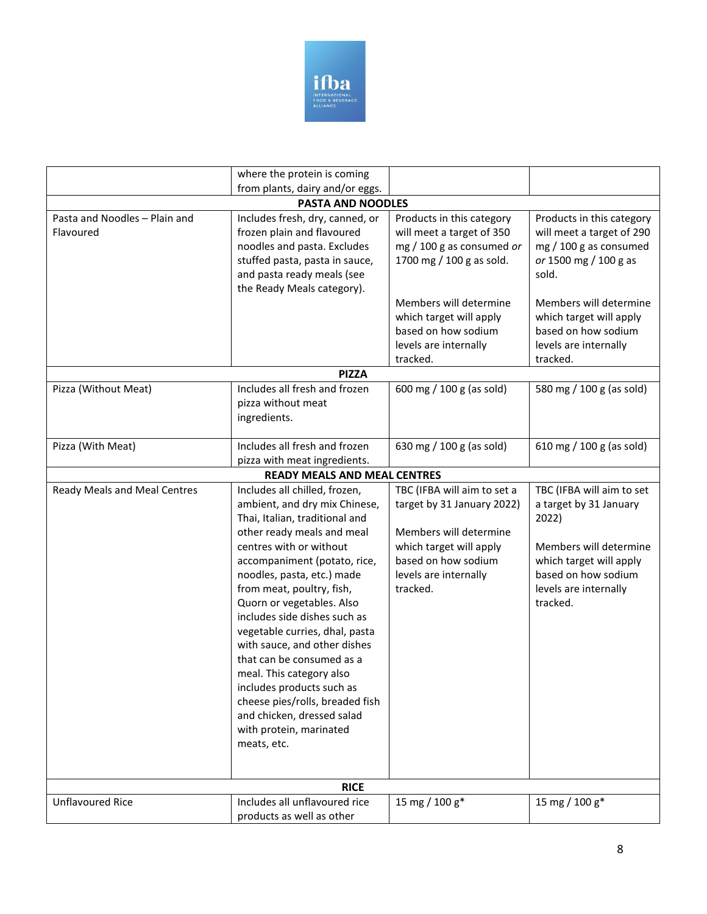

|                                            | where the protein is coming                                                                                                                                                                                                                                                                                                                                                                                                                                                      |                                                                                                                 |                                                                                                                    |
|--------------------------------------------|----------------------------------------------------------------------------------------------------------------------------------------------------------------------------------------------------------------------------------------------------------------------------------------------------------------------------------------------------------------------------------------------------------------------------------------------------------------------------------|-----------------------------------------------------------------------------------------------------------------|--------------------------------------------------------------------------------------------------------------------|
|                                            | from plants, dairy and/or eggs.                                                                                                                                                                                                                                                                                                                                                                                                                                                  |                                                                                                                 |                                                                                                                    |
|                                            | <b>PASTA AND NOODLES</b>                                                                                                                                                                                                                                                                                                                                                                                                                                                         |                                                                                                                 |                                                                                                                    |
| Pasta and Noodles - Plain and<br>Flavoured | Includes fresh, dry, canned, or<br>frozen plain and flavoured<br>noodles and pasta. Excludes<br>stuffed pasta, pasta in sauce,<br>and pasta ready meals (see<br>the Ready Meals category).                                                                                                                                                                                                                                                                                       | Products in this category<br>will meet a target of 350<br>mg / 100 g as consumed or<br>1700 mg / 100 g as sold. | Products in this category<br>will meet a target of 290<br>mg / 100 g as consumed<br>or 1500 mg / 100 g as<br>sold. |
|                                            |                                                                                                                                                                                                                                                                                                                                                                                                                                                                                  | Members will determine<br>which target will apply                                                               | Members will determine<br>which target will apply                                                                  |
|                                            |                                                                                                                                                                                                                                                                                                                                                                                                                                                                                  | based on how sodium<br>levels are internally                                                                    | based on how sodium<br>levels are internally                                                                       |
|                                            |                                                                                                                                                                                                                                                                                                                                                                                                                                                                                  | tracked.                                                                                                        | tracked.                                                                                                           |
|                                            | <b>PIZZA</b>                                                                                                                                                                                                                                                                                                                                                                                                                                                                     |                                                                                                                 |                                                                                                                    |
| Pizza (Without Meat)                       | Includes all fresh and frozen<br>pizza without meat<br>ingredients.                                                                                                                                                                                                                                                                                                                                                                                                              | 600 mg / 100 g (as sold)                                                                                        | 580 mg / 100 g (as sold)                                                                                           |
| Pizza (With Meat)                          | Includes all fresh and frozen                                                                                                                                                                                                                                                                                                                                                                                                                                                    | 630 mg / 100 g (as sold)                                                                                        | 610 mg / 100 g (as sold)                                                                                           |
|                                            | pizza with meat ingredients.                                                                                                                                                                                                                                                                                                                                                                                                                                                     |                                                                                                                 |                                                                                                                    |
|                                            | <b>READY MEALS AND MEAL CENTRES</b>                                                                                                                                                                                                                                                                                                                                                                                                                                              |                                                                                                                 |                                                                                                                    |
| <b>Ready Meals and Meal Centres</b>        | Includes all chilled, frozen,                                                                                                                                                                                                                                                                                                                                                                                                                                                    | TBC (IFBA will aim to set a                                                                                     | TBC (IFBA will aim to set                                                                                          |
|                                            | ambient, and dry mix Chinese,<br>Thai, Italian, traditional and                                                                                                                                                                                                                                                                                                                                                                                                                  | target by 31 January 2022)                                                                                      | a target by 31 January<br>2022)                                                                                    |
|                                            | other ready meals and meal<br>centres with or without<br>accompaniment (potato, rice,<br>noodles, pasta, etc.) made<br>from meat, poultry, fish,<br>Quorn or vegetables. Also<br>includes side dishes such as<br>vegetable curries, dhal, pasta<br>with sauce, and other dishes<br>that can be consumed as a<br>meal. This category also<br>includes products such as<br>cheese pies/rolls, breaded fish<br>and chicken, dressed salad<br>with protein, marinated<br>meats, etc. | Members will determine<br>which target will apply<br>based on how sodium<br>levels are internally<br>tracked.   | Members will determine<br>which target will apply<br>based on how sodium<br>levels are internally<br>tracked.      |
| <b>RICE</b>                                |                                                                                                                                                                                                                                                                                                                                                                                                                                                                                  |                                                                                                                 |                                                                                                                    |
| <b>Unflavoured Rice</b>                    | Includes all unflavoured rice<br>products as well as other                                                                                                                                                                                                                                                                                                                                                                                                                       | 15 mg / 100 g*                                                                                                  | 15 mg / 100 g*                                                                                                     |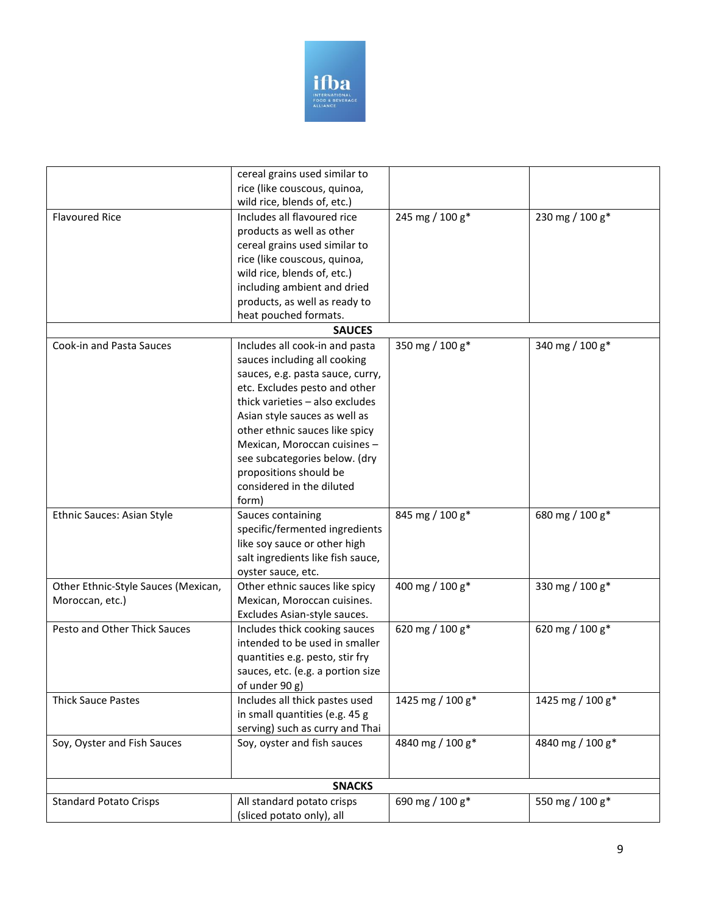

|                                     | cereal grains used similar to     |                  |                  |
|-------------------------------------|-----------------------------------|------------------|------------------|
|                                     | rice (like couscous, quinoa,      |                  |                  |
|                                     | wild rice, blends of, etc.)       |                  |                  |
| <b>Flavoured Rice</b>               | Includes all flavoured rice       | 245 mg / 100 g*  | 230 mg / 100 g*  |
|                                     | products as well as other         |                  |                  |
|                                     | cereal grains used similar to     |                  |                  |
|                                     | rice (like couscous, quinoa,      |                  |                  |
|                                     | wild rice, blends of, etc.)       |                  |                  |
|                                     | including ambient and dried       |                  |                  |
|                                     | products, as well as ready to     |                  |                  |
|                                     | heat pouched formats.             |                  |                  |
|                                     | <b>SAUCES</b>                     |                  |                  |
| Cook-in and Pasta Sauces            | Includes all cook-in and pasta    | 350 mg / 100 g*  | 340 mg / 100 g*  |
|                                     | sauces including all cooking      |                  |                  |
|                                     | sauces, e.g. pasta sauce, curry,  |                  |                  |
|                                     | etc. Excludes pesto and other     |                  |                  |
|                                     | thick varieties - also excludes   |                  |                  |
|                                     | Asian style sauces as well as     |                  |                  |
|                                     | other ethnic sauces like spicy    |                  |                  |
|                                     | Mexican, Moroccan cuisines-       |                  |                  |
|                                     | see subcategories below. (dry     |                  |                  |
|                                     | propositions should be            |                  |                  |
|                                     | considered in the diluted         |                  |                  |
|                                     | form)                             |                  |                  |
| Ethnic Sauces: Asian Style          | Sauces containing                 | 845 mg / 100 g*  | 680 mg / 100 g*  |
|                                     | specific/fermented ingredients    |                  |                  |
|                                     | like soy sauce or other high      |                  |                  |
|                                     | salt ingredients like fish sauce, |                  |                  |
|                                     | oyster sauce, etc.                |                  |                  |
| Other Ethnic-Style Sauces (Mexican, | Other ethnic sauces like spicy    | 400 mg / 100 g*  | 330 mg / 100 g*  |
| Moroccan, etc.)                     | Mexican, Moroccan cuisines.       |                  |                  |
|                                     | Excludes Asian-style sauces.      |                  |                  |
| Pesto and Other Thick Sauces        | Includes thick cooking sauces     | 620 mg / 100 g*  | 620 mg / 100 g*  |
|                                     | intended to be used in smaller    |                  |                  |
|                                     | quantities e.g. pesto, stir fry   |                  |                  |
|                                     | sauces, etc. (e.g. a portion size |                  |                  |
|                                     | of under 90 g)                    |                  |                  |
| <b>Thick Sauce Pastes</b>           | Includes all thick pastes used    | 1425 mg / 100 g* | 1425 mg / 100 g* |
|                                     | in small quantities (e.g. 45 g    |                  |                  |
|                                     | serving) such as curry and Thai   |                  |                  |
| Soy, Oyster and Fish Sauces         | Soy, oyster and fish sauces       | 4840 mg / 100 g* | 4840 mg / 100 g* |
|                                     |                                   |                  |                  |
|                                     |                                   |                  |                  |
| <b>SNACKS</b>                       |                                   |                  |                  |
| <b>Standard Potato Crisps</b>       | All standard potato crisps        | 690 mg / 100 g*  | 550 mg / 100 g*  |
|                                     | (sliced potato only), all         |                  |                  |